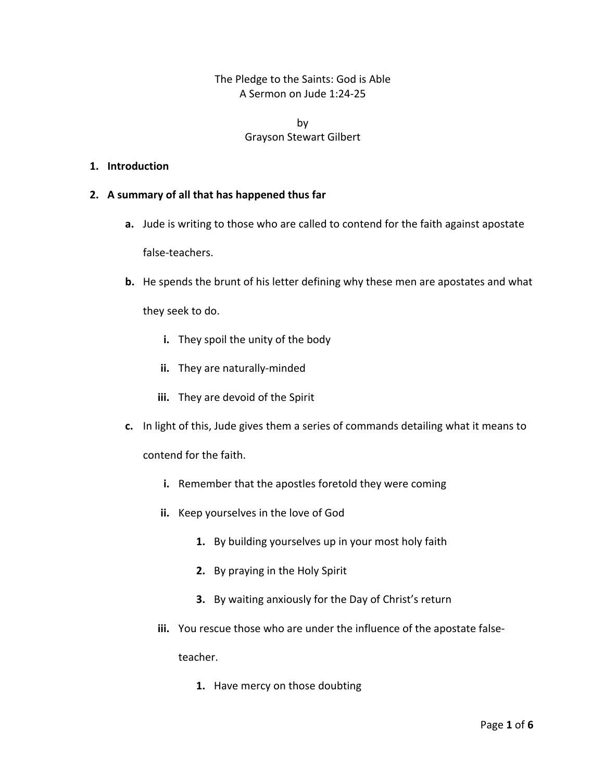The Pledge to the Saints: God is Able A Sermon on Jude 1:24-25

> by Grayson Stewart Gilbert

## **1. Introduction**

- **2. A summary of all that has happened thus far**
	- **a.** Jude is writing to those who are called to contend for the faith against apostate false-teachers.
	- **b.** He spends the brunt of his letter defining why these men are apostates and what

they seek to do.

- **i.** They spoil the unity of the body
- **ii.** They are naturally-minded
- **iii.** They are devoid of the Spirit
- **c.** In light of this, Jude gives them a series of commands detailing what it means to

contend for the faith.

- **i.** Remember that the apostles foretold they were coming
- **ii.** Keep yourselves in the love of God
	- **1.** By building yourselves up in your most holy faith
	- **2.** By praying in the Holy Spirit
	- **3.** By waiting anxiously for the Day of Christ's return
- **iii.** You rescue those who are under the influence of the apostate falseteacher.
	- **1.** Have mercy on those doubting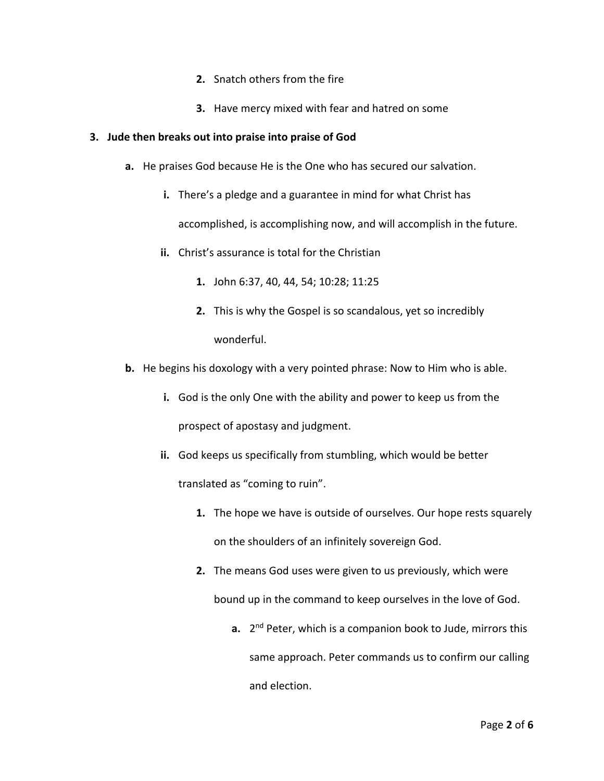- **2.** Snatch others from the fire
- **3.** Have mercy mixed with fear and hatred on some

## **3. Jude then breaks out into praise into praise of God**

- **a.** He praises God because He is the One who has secured our salvation.
	- **i.** There's a pledge and a guarantee in mind for what Christ has accomplished, is accomplishing now, and will accomplish in the future.
	- **ii.** Christ's assurance is total for the Christian
		- **1.** John 6:37, 40, 44, 54; 10:28; 11:25
		- **2.** This is why the Gospel is so scandalous, yet so incredibly wonderful.
- **b.** He begins his doxology with a very pointed phrase: Now to Him who is able.
	- **i.** God is the only One with the ability and power to keep us from the prospect of apostasy and judgment.
	- **ii.** God keeps us specifically from stumbling, which would be better translated as "coming to ruin".
		- **1.** The hope we have is outside of ourselves. Our hope rests squarely on the shoulders of an infinitely sovereign God.
		- **2.** The means God uses were given to us previously, which were bound up in the command to keep ourselves in the love of God.
			- **a.** 2nd Peter, which is a companion book to Jude, mirrors this same approach. Peter commands us to confirm our calling and election.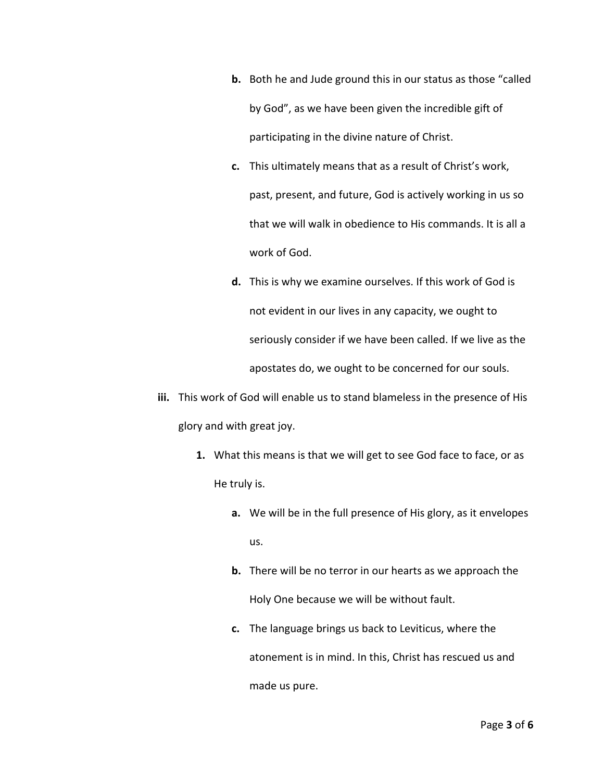- **b.** Both he and Jude ground this in our status as those "called by God", as we have been given the incredible gift of participating in the divine nature of Christ.
- **c.** This ultimately means that as a result of Christ's work, past, present, and future, God is actively working in us so that we will walk in obedience to His commands. It is all a work of God.
- **d.** This is why we examine ourselves. If this work of God is not evident in our lives in any capacity, we ought to seriously consider if we have been called. If we live as the apostates do, we ought to be concerned for our souls.
- **iii.** This work of God will enable us to stand blameless in the presence of His glory and with great joy.
	- **1.** What this means is that we will get to see God face to face, or as He truly is.
		- **a.** We will be in the full presence of His glory, as it envelopes us.
		- **b.** There will be no terror in our hearts as we approach the Holy One because we will be without fault.
		- **c.** The language brings us back to Leviticus, where the atonement is in mind. In this, Christ has rescued us and made us pure.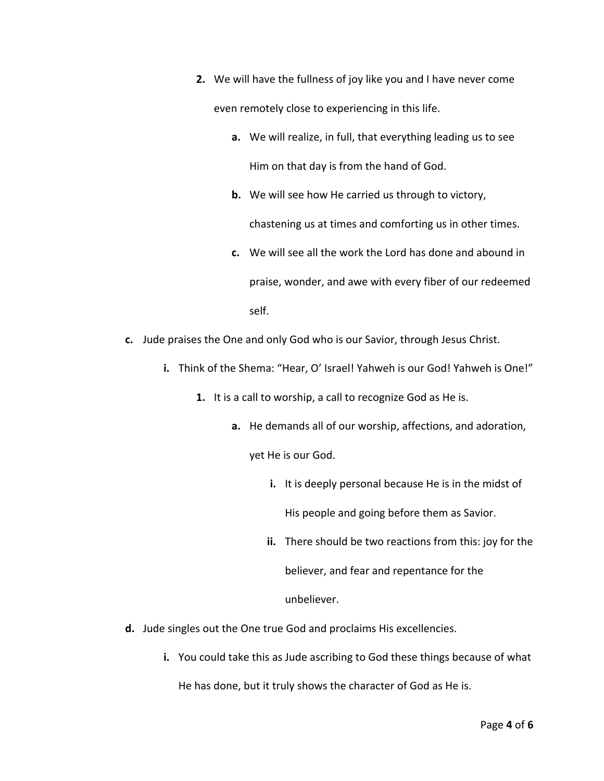- **2.** We will have the fullness of joy like you and I have never come even remotely close to experiencing in this life.
	- **a.** We will realize, in full, that everything leading us to see Him on that day is from the hand of God.
	- **b.** We will see how He carried us through to victory, chastening us at times and comforting us in other times.
	- **c.** We will see all the work the Lord has done and abound in praise, wonder, and awe with every fiber of our redeemed self.
- **c.** Jude praises the One and only God who is our Savior, through Jesus Christ.
	- **i.** Think of the Shema: "Hear, O' Israel! Yahweh is our God! Yahweh is One!"
		- **1.** It is a call to worship, a call to recognize God as He is.
			- **a.** He demands all of our worship, affections, and adoration, yet He is our God.
				- **i.** It is deeply personal because He is in the midst of His people and going before them as Savior.
				- **ii.** There should be two reactions from this: joy for the believer, and fear and repentance for the unbeliever.
- **d.** Jude singles out the One true God and proclaims His excellencies.
	- **i.** You could take this as Jude ascribing to God these things because of what He has done, but it truly shows the character of God as He is.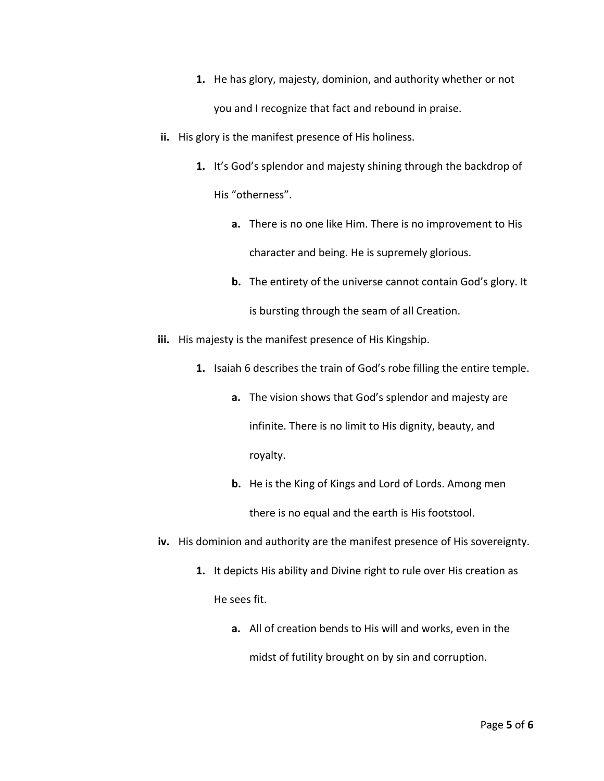- **1.** He has glory, majesty, dominion, and authority whether or not you and I recognize that fact and rebound in praise.
- **ii.** His glory is the manifest presence of His holiness.
	- **1.** It's God's splendor and majesty shining through the backdrop of His "otherness".
		- **a.** There is no one like Him. There is no improvement to His character and being. He is supremely glorious.
		- **b.** The entirety of the universe cannot contain God's glory. It is bursting through the seam of all Creation.
- **iii.** His majesty is the manifest presence of His Kingship.
	- **1.** Isaiah 6 describes the train of God's robe filling the entire temple.
		- **a.** The vision shows that God's splendor and majesty are infinite. There is no limit to His dignity, beauty, and royalty.
		- **b.** He is the King of Kings and Lord of Lords. Among men there is no equal and the earth is His footstool.
- **iv.** His dominion and authority are the manifest presence of His sovereignty.
	- **1.** It depicts His ability and Divine right to rule over His creation as He sees fit.
		- **a.** All of creation bends to His will and works, even in the midst of futility brought on by sin and corruption.